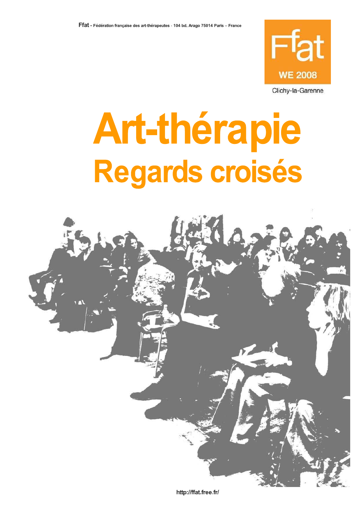

Clichy-la-Garenne

## **Art-thérapie** Regards croisés



http://ffat.free.fr/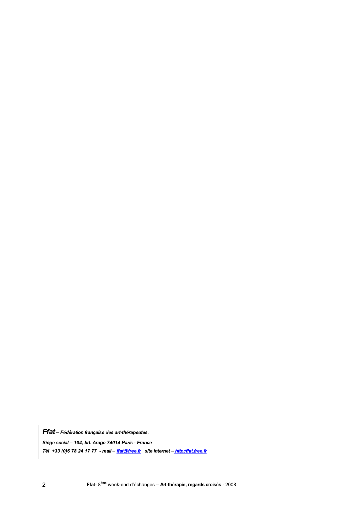Ffat - Fédération française des art-thérapeutes.

Siège social - 104, bd. Arago 74014 Paris - France

Tél +33 (0)6 78 24 17 77 - mail - ffat@free.fr site internet - http:/ffat.free.fr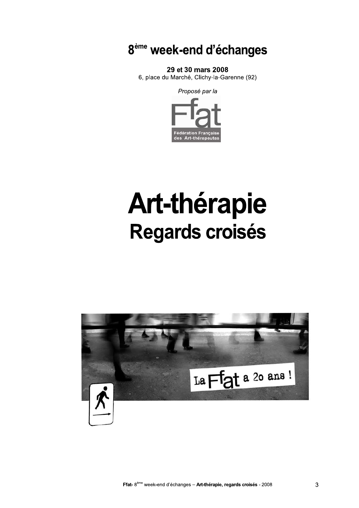8<sup>ème</sup> week-end d'échanges

29 et 30 mars 2008

6, place du Marché, Clichy-la-Garenne (92)

Proposé par la



## **Art-thérapie** Regards croisés

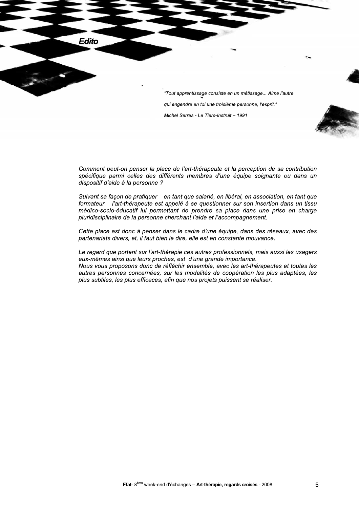**Edito** "Tout apprentissage consiste en un métissage... Aime l'autre qui engendre en toi une troisième personne, l'esprit."

Comment peut-on penser la place de l'art-thérapeute et la perception de sa contribution spécifique parmi celles des différents membres d'une équipe soignante ou dans un dispositif d'aide à la personne?

Michel Serres - Le Tiers-Instruit - 1991

Suivant sa façon de pratiquer - en tant que salarié, en libéral, en association, en tant que formateur – l'art-thérapeute est appelé à se questionner sur son insertion dans un tissu médico-socio-éducatif lui permettant de prendre sa place dans une prise en charge pluridisciplinaire de la personne cherchant l'aide et l'accompagnement.

Cette place est donc à penser dans le cadre d'une équipe, dans des réseaux, avec des partenariats divers, et, il faut bien le dire, elle est en constante mouvance.

Le regard que portent sur l'art-thérapie ces autres professionnels, mais aussi les usagers eux-mêmes ainsi que leurs proches, est d'une grande importance. Nous vous proposons donc de réfléchir ensemble, avec les art-thérapeutes et toutes les autres personnes concernées, sur les modalités de coopération les plus adaptées, les plus subtiles, les plus efficaces, afin que nos projets puissent se réaliser.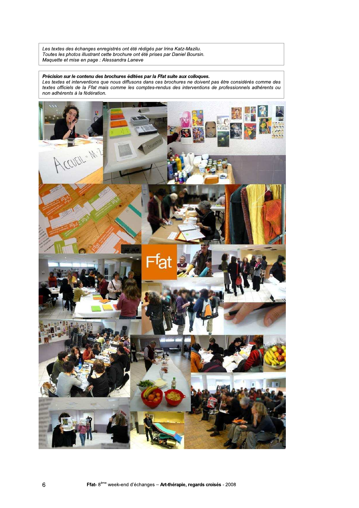Les textes des échanges enregistrés ont été rédigés par Irina Katz-Mazilu. Toutes les photos illustrant cette brochure ont été prises par Daniel Boursin. Maquette et mise en page : Alessandra Laneve

## Précision sur le contenu des brochures éditées par la Ffat suite aux colloques.

Les textes et interventions que nous diffusons dans ces brochures ne doivent pas être considérés comme des textes officiels de la Ffat mais comme les comptes-rendus des interventions de professionnels adhérents ou non adhérents à la fédération.